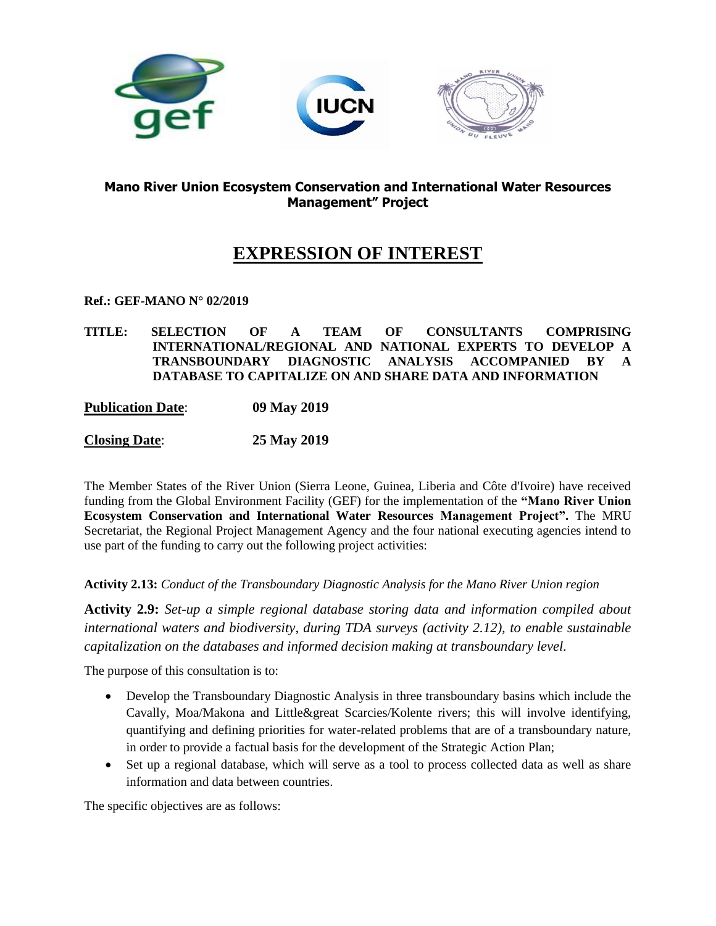

# **Mano River Union Ecosystem Conservation and International Water Resources Management" Project**

# **EXPRESSION OF INTEREST**

#### **Ref.: GEF-MANO N° 02/2019**

**TITLE: SELECTION OF A TEAM OF CONSULTANTS COMPRISING INTERNATIONAL/REGIONAL AND NATIONAL EXPERTS TO DEVELOP A TRANSBOUNDARY DIAGNOSTIC ANALYSIS ACCOMPANIED BY A DATABASE TO CAPITALIZE ON AND SHARE DATA AND INFORMATION**

#### **Publication Date**: **09 May 2019**

# **Closing Date**: **25 May 2019**

The Member States of the River Union (Sierra Leone, Guinea, Liberia and Côte d'Ivoire) have received funding from the Global Environment Facility (GEF) for the implementation of the **"Mano River Union Ecosystem Conservation and International Water Resources Management Project".** The MRU Secretariat, the Regional Project Management Agency and the four national executing agencies intend to use part of the funding to carry out the following project activities:

#### **Activity 2.13:** *Conduct of the Transboundary Diagnostic Analysis for the Mano River Union region*

**Activity 2.9:** *Set-up a simple regional database storing data and information compiled about international waters and biodiversity, during TDA surveys (activity 2.12), to enable sustainable capitalization on the databases and informed decision making at transboundary level.*

The purpose of this consultation is to:

- Develop the Transboundary Diagnostic Analysis in three transboundary basins which include the Cavally, Moa/Makona and Little&great Scarcies/Kolente rivers; this will involve identifying, quantifying and defining priorities for water-related problems that are of a transboundary nature, in order to provide a factual basis for the development of the Strategic Action Plan;
- Set up a regional database, which will serve as a tool to process collected data as well as share information and data between countries.

The specific objectives are as follows: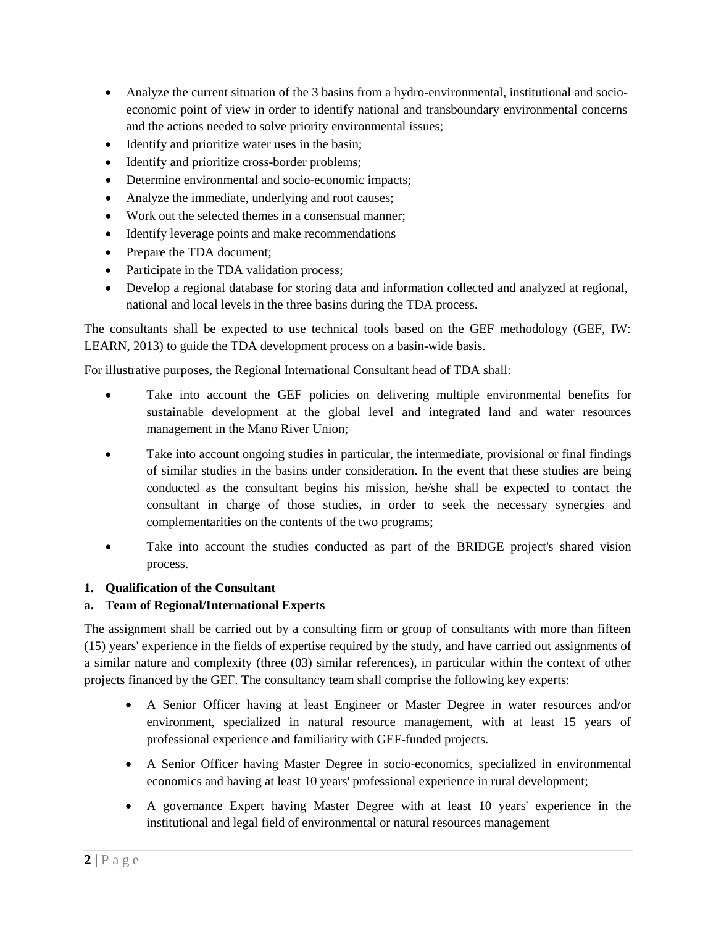- Analyze the current situation of the 3 basins from a hydro-environmental, institutional and socioeconomic point of view in order to identify national and transboundary environmental concerns and the actions needed to solve priority environmental issues;
- Identify and prioritize water uses in the basin;
- Identify and prioritize cross-border problems;
- Determine environmental and socio-economic impacts;
- Analyze the immediate, underlying and root causes;
- Work out the selected themes in a consensual manner;
- Identify leverage points and make recommendations
- Prepare the TDA document;
- Participate in the TDA validation process;
- Develop a regional database for storing data and information collected and analyzed at regional, national and local levels in the three basins during the TDA process.

The consultants shall be expected to use technical tools based on the GEF methodology (GEF, IW: LEARN, 2013) to guide the TDA development process on a basin-wide basis.

For illustrative purposes, the Regional International Consultant head of TDA shall:

- Take into account the GEF policies on delivering multiple environmental benefits for sustainable development at the global level and integrated land and water resources management in the Mano River Union;
- Take into account ongoing studies in particular, the intermediate, provisional or final findings of similar studies in the basins under consideration. In the event that these studies are being conducted as the consultant begins his mission, he/she shall be expected to contact the consultant in charge of those studies, in order to seek the necessary synergies and complementarities on the contents of the two programs;
- Take into account the studies conducted as part of the BRIDGE project's shared vision process.

# **1. Qualification of the Consultant**

# **a. Team of Regional/International Experts**

The assignment shall be carried out by a consulting firm or group of consultants with more than fifteen (15) years' experience in the fields of expertise required by the study, and have carried out assignments of a similar nature and complexity (three (03) similar references), in particular within the context of other projects financed by the GEF. The consultancy team shall comprise the following key experts:

- A Senior Officer having at least Engineer or Master Degree in water resources and/or environment, specialized in natural resource management, with at least 15 years of professional experience and familiarity with GEF-funded projects.
- A Senior Officer having Master Degree in socio-economics, specialized in environmental economics and having at least 10 years' professional experience in rural development;
- A governance Expert having Master Degree with at least 10 years' experience in the institutional and legal field of environmental or natural resources management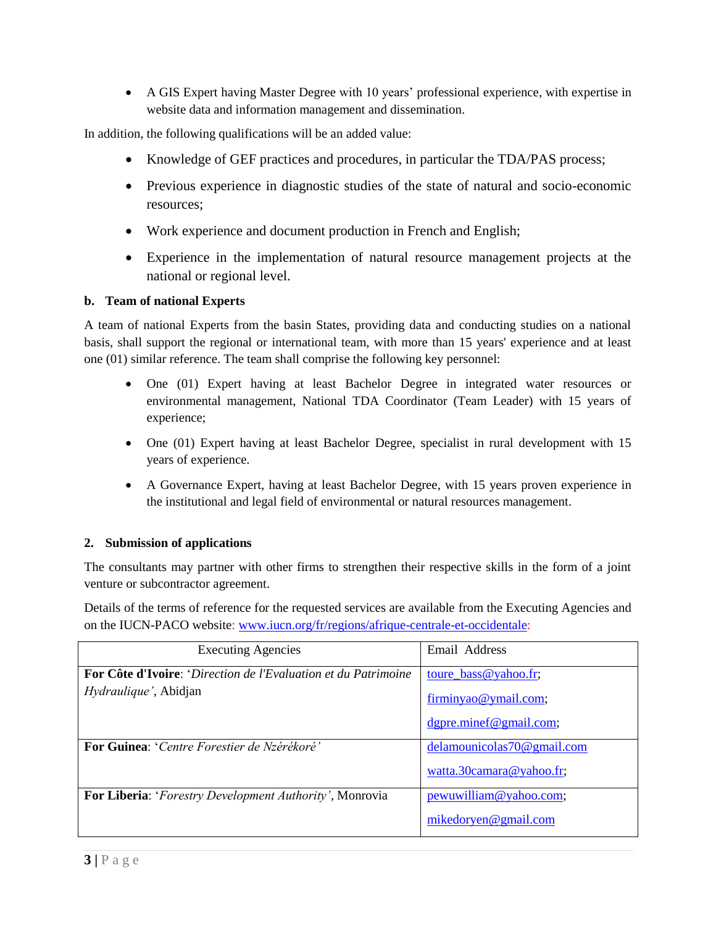A GIS Expert having Master Degree with 10 years' professional experience, with expertise in website data and information management and dissemination.

In addition, the following qualifications will be an added value:

- Knowledge of GEF practices and procedures, in particular the TDA/PAS process;
- Previous experience in diagnostic studies of the state of natural and socio-economic resources;
- Work experience and document production in French and English;
- Experience in the implementation of natural resource management projects at the national or regional level.

#### **b. Team of national Experts**

A team of national Experts from the basin States, providing data and conducting studies on a national basis, shall support the regional or international team, with more than 15 years' experience and at least one (01) similar reference. The team shall comprise the following key personnel:

- One (01) Expert having at least Bachelor Degree in integrated water resources or environmental management, National TDA Coordinator (Team Leader) with 15 years of experience;
- One (01) Expert having at least Bachelor Degree, specialist in rural development with 15 years of experience.
- A Governance Expert, having at least Bachelor Degree, with 15 years proven experience in the institutional and legal field of environmental or natural resources management.

#### **2. Submission of applications**

The consultants may partner with other firms to strengthen their respective skills in the form of a joint venture or subcontractor agreement.

Details of the terms of reference for the requested services are available from the Executing Agencies and on the IUCN-PACO website: [www.iucn.org/fr/regions/afrique-centrale-et-occidentale:](http://www.iucn.org/fr/regions/afrique-centrale-et-occidentale)

| <b>Executing Agencies</b>                                                                              | Email Address                                        |
|--------------------------------------------------------------------------------------------------------|------------------------------------------------------|
| <b>For Côte d'Ivoire: 'Direction de l'Evaluation et du Patrimoine</b><br><i>Hydraulique'</i> , Abidjan | toure_bass@yahoo.fr;                                 |
|                                                                                                        | firminyao@ymail.com;                                 |
| <b>For Guinea: 'Centre Forestier de Nzérékoré'</b>                                                     | dgpre.minef@gmail.com;<br>delamounicolas70@gmail.com |
|                                                                                                        | watta.30camara@yahoo.fr;                             |
| <b>For Liberia:</b> ' <i>Forestry Development Authority'</i> , Monrovia                                | pewuwilliam@yahoo.com;                               |
|                                                                                                        | mikedoryen@gmail.com                                 |